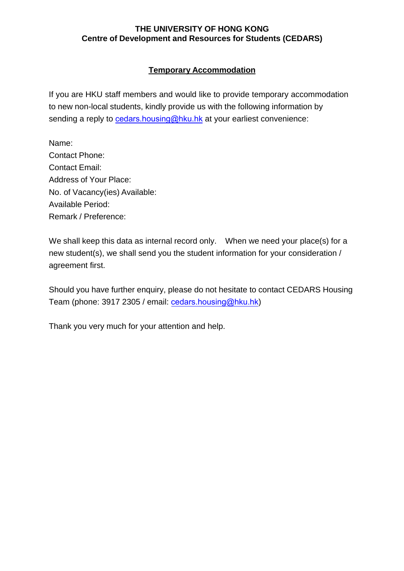## **THE UNIVERSITY OF HONG KONG Centre of Development and Resources for Students (CEDARS)**

# **Temporary Accommodation**

If you are HKU staff members and would like to provide temporary accommodation to new non-local students, kindly provide us with the following information by sending a reply to [cedars.housing@hku.hk](mailto:cedars.housing@hku.hk) at your earliest convenience:

Name: Contact Phone: Contact Email: Address of Your Place: No. of Vacancy(ies) Available: Available Period: Remark / Preference:

We shall keep this data as internal record only. When we need your place(s) for a new student(s), we shall send you the student information for your consideration / agreement first.

Should you have further enquiry, please do not hesitate to contact CEDARS Housing Team (phone: 3917 2305 / email: [cedars.housing@hku.hk](mailto:cedars.housing@hku.hk))

Thank you very much for your attention and help.